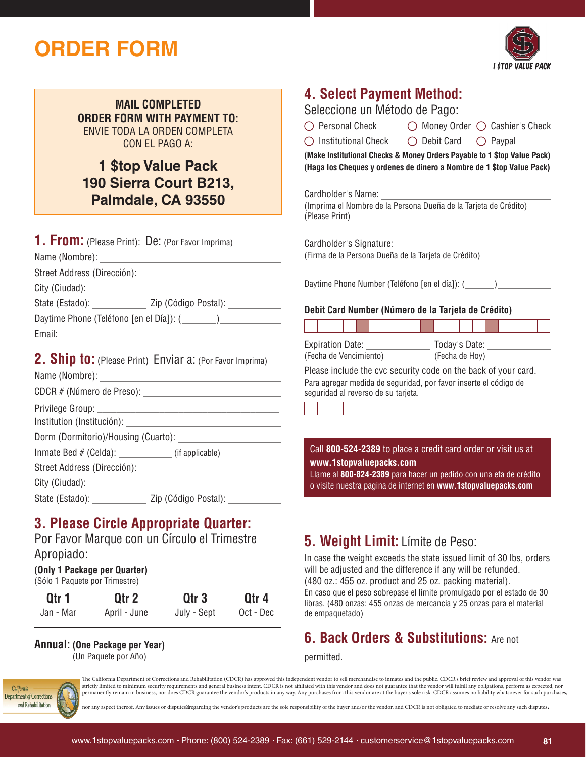# **ORDER FORM**



**MAIL COMPLETED ORDER FORM WITH PAYMENT TO:** ENVIE TODA LA ORDEN COMPLETA CON EL PAGO A:

**1 \$top Value Pack 190 Sierra Court B213, Palmdale, CA 93550**

| <b>1. From:</b> (Please Print): De: (Por Favor Imprima) |                                                                   |
|---------------------------------------------------------|-------------------------------------------------------------------|
|                                                         |                                                                   |
|                                                         |                                                                   |
|                                                         |                                                                   |
|                                                         | State (Estado): _______________ Zip (Código Postal): ____________ |
|                                                         |                                                                   |
|                                                         |                                                                   |
|                                                         | <b>2. Ship to:</b> (Please Print) Enviar a: (Por Favor Imprima)   |
|                                                         |                                                                   |
|                                                         |                                                                   |
|                                                         |                                                                   |
| Inmate Bed # (Celda): _____________ (if applicable)     |                                                                   |

Street Address (Dirección):

City (Ciudad):

State (Estado): Zip (Código Postal):

## **3. Please Circle Appropriate Quarter:**

Por Favor Marque con un Círculo el Trimestre Apropiado:

#### **(Only 1 Package per Quarter)** (Sólo 1 Paquete por Trimestre)

| Otr 1     | Otr <sub>2</sub> | Otr <sub>3</sub> | Qtr 4     |
|-----------|------------------|------------------|-----------|
| Jan - Mar | April - June     | July - Sept      | Oct - Dec |

## **Annual: (One Package per Year)**

(Un Paquete por Año)

## **4. Select Payment Method:**

Seleccione un Método de Pago:

| $\bigcirc$ Money Order $\bigcirc$ Cashier's Check |
|---------------------------------------------------|
|                                                   |

 $\bigcirc$  Institutional Check  $\bigcirc$  Debit Card  $\bigcirc$  Paypal

**(Make Institutional Checks & Money Orders Payable to 1 \$top Value Pack) (Haga los Cheques y ordenes de dinero a Nombre de 1 \$top Value Pack)**

Cardholder's Name:

(Imprima el Nombre de la Persona Dueña de la Tarjeta de Crédito) (Please Print)

Cardholder's Signature: (Firma de la Persona Dueña de la Tarjeta de Crédito)

Daytime Phone Number (Teléfono [en el día]): ( )

### **Debit Card Number (Número de la Tarjeta de Crédito)**

| <b>Expiration Date:</b><br>Today's Date: |  |  |  |  |  |                |  |  |  |  |  |  |  |  |  |  |  |
|------------------------------------------|--|--|--|--|--|----------------|--|--|--|--|--|--|--|--|--|--|--|
| (Fecha de Vencimiento)                   |  |  |  |  |  | (Fecha de Hoy) |  |  |  |  |  |  |  |  |  |  |  |

Please include the cvc security code on the back of your card. Para agregar medida de seguridad, por favor inserte el código de seguridad al reverso de su tarjeta.



Call **800-524-2389** to place a credit card order or visit us at **www.1stopvaluepacks.com**

Llame al **800-824-2389** para hacer un pedido con una eta de crédito o visite nuestra pagina de internet en **www.1stopvaluepacks.com**

## **5. Weight Limit:** Límite de Peso:

In case the weight exceeds the state issued limit of 30 lbs, orders will be adjusted and the difference if any will be refunded. (480 oz.: 455 oz. product and 25 oz. packing material). En caso que el peso sobrepase el límite promulgado por el estado de 30 libras. (480 onzas: 455 onzas de mercancia y 25 onzas para el material de empaquetado)

## **6. Back Orders & Substitutions:** Are not

permitted.



The California Department of Corrections and Rehabilitation (CDCR) has approved this independent vendor to sell merchandise to inmates and the public. CDCR's brief review and approval of this vendor was strictly limited to minimum security requirements and general business intent. CDCR is not affiliated with this vendor and does not guarantee that the vendor will fulfill any obligations, perform as expected, nor permanently remain in business, nor does CDCR guarantee the vendor's products in any way. Any purchases from this vendor are at the buyer's sole risk. CDCR assumes no liability whatsoever for such purchases,

nor any aspect thereof. Any issues or disputes regarding the vendor's products are the sole responsibility of the buyer and/or the vendor, and CDCR is not obligated to mediate or resolve any such disputes.